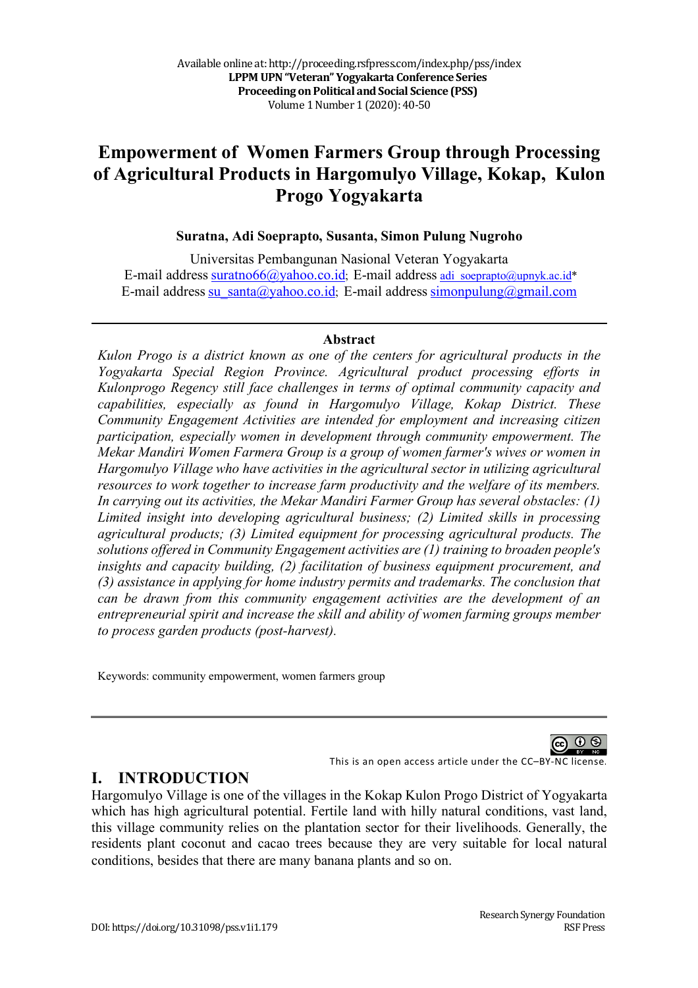# **Empowerment of Women Farmers Group through Processing of Agricultural Products in Hargomulyo Village, Kokap, Kulon Progo Yogyakarta**

#### **Suratna, Adi Soeprapto, Susanta, Simon Pulung Nugroho**

Universitas Pembangunan Nasional Veteran Yogyakarta E-mail address suratno66@yahoo.co.id; E-mail address adi\_soeprapto@upnyk.ac.id\* E-mail address su santa@yahoo.co.id; E-mail address simonpulung@gmail.com

#### **Abstract**

*Kulon Progo is a district known as one of the centers for agricultural products in the Yogyakarta Special Region Province. Agricultural product processing efforts in Kulonprogo Regency still face challenges in terms of optimal community capacity and capabilities, especially as found in Hargomulyo Village, Kokap District. These Community Engagement Activities are intended for employment and increasing citizen participation, especially women in development through community empowerment. The Mekar Mandiri Women Farmera Group is a group of women farmer's wives or women in Hargomulyo Village who have activities in the agricultural sector in utilizing agricultural resources to work together to increase farm productivity and the welfare of its members. In carrying out its activities, the Mekar Mandiri Farmer Group has several obstacles: (1) Limited insight into developing agricultural business; (2) Limited skills in processing agricultural products; (3) Limited equipment for processing agricultural products. The solutions offered in Community Engagement activities are (1) training to broaden people's insights and capacity building, (2) facilitation of business equipment procurement, and (3) assistance in applying for home industry permits and trademarks. The conclusion that can be drawn from this community engagement activities are the development of an entrepreneurial spirit and increase the skill and ability of women farming groups member to process garden products (post-harvest).*

Keywords: community empowerment, women farmers group

This is an open access article under the CC–BY-NC license.

#### **I. INTRODUCTION**

Hargomulyo Village is one of the villages in the Kokap Kulon Progo District of Yogyakarta which has high agricultural potential. Fertile land with hilly natural conditions, vast land, this village community relies on the plantation sector for their livelihoods. Generally, the residents plant coconut and cacao trees because they are very suitable for local natural conditions, besides that there are many banana plants and so on.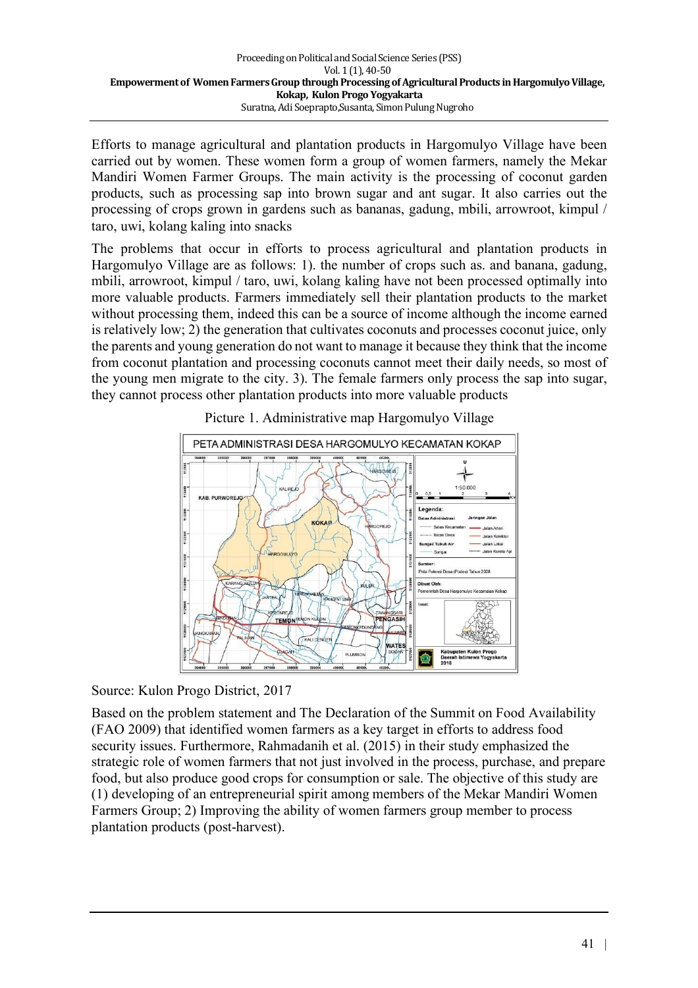Efforts to manage agricultural and plantation products in Hargomulyo Village have been carried out by women. These women form a group of women farmers, namely the Mekar Mandiri Women Farmer Groups. The main activity is the processing of coconut garden products, such as processing sap into brown sugar and ant sugar. It also carries out the processing of crops grown in gardens such as bananas, gadung, mbili, arrowroot, kimpul / taro, uwi, kolang kaling into snacks

The problems that occur in efforts to process agricultural and plantation products in Hargomulyo Village are as follows: 1). the number of crops such as. and banana, gadung, mbili, arrowroot, kimpul / taro, uwi, kolang kaling have not been processed optimally into more valuable products. Farmers immediately sell their plantation products to the market without processing them, indeed this can be a source of income although the income earned is relatively low; 2) the generation that cultivates coconuts and processes coconut juice, only the parents and young generation do not want to manage it because they think that the income from coconut plantation and processing coconuts cannot meet their daily needs, so most of the young men migrate to the city. 3). The female farmers only process the sap into sugar, they cannot process other plantation products into more valuable products





Source: Kulon Progo District, 2017

Based on the problem statement and The Declaration of the Summit on Food Availability (FAO 2009) that identified women farmers as a key target in efforts to address food security issues. Furthermore, Rahmadanih et al. (2015) in their study emphasized the strategic role of women farmers that not just involved in the process, purchase, and prepare food, but also produce good crops for consumption or sale. The objective of this study are (1) developing of an entrepreneurial spirit among members of the Mekar Mandiri Women Farmers Group; 2) Improving the ability of women farmers group member to process plantation products (post-harvest).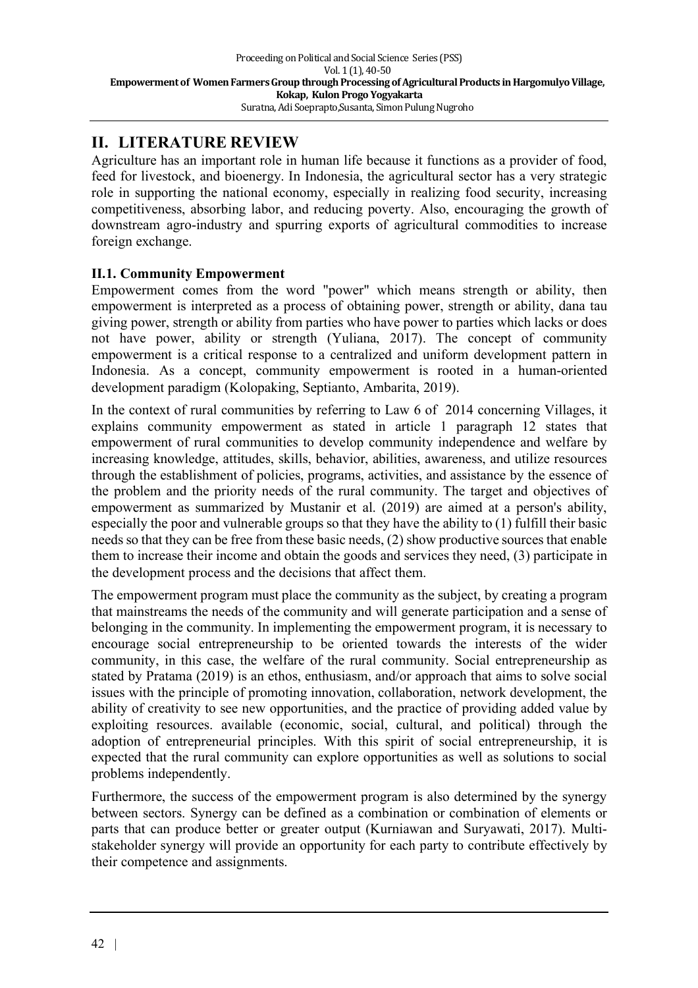## **II. LITERATURE REVIEW**

Agriculture has an important role in human life because it functions as a provider of food, feed for livestock, and bioenergy. In Indonesia, the agricultural sector has a very strategic role in supporting the national economy, especially in realizing food security, increasing competitiveness, absorbing labor, and reducing poverty. Also, encouraging the growth of downstream agro-industry and spurring exports of agricultural commodities to increase foreign exchange.

#### **II.1. Community Empowerment**

Empowerment comes from the word "power" which means strength or ability, then empowerment is interpreted as a process of obtaining power, strength or ability, dana tau giving power, strength or ability from parties who have power to parties which lacks or does not have power, ability or strength (Yuliana, 2017). The concept of community empowerment is a critical response to a centralized and uniform development pattern in Indonesia. As a concept, community empowerment is rooted in a human-oriented development paradigm (Kolopaking, Septianto, Ambarita, 2019).

In the context of rural communities by referring to Law 6 of 2014 concerning Villages, it explains community empowerment as stated in article 1 paragraph 12 states that empowerment of rural communities to develop community independence and welfare by increasing knowledge, attitudes, skills, behavior, abilities, awareness, and utilize resources through the establishment of policies, programs, activities, and assistance by the essence of the problem and the priority needs of the rural community. The target and objectives of empowerment as summarized by Mustanir et al. (2019) are aimed at a person's ability, especially the poor and vulnerable groups so that they have the ability to (1) fulfill their basic needs so that they can be free from these basic needs, (2) show productive sources that enable them to increase their income and obtain the goods and services they need, (3) participate in the development process and the decisions that affect them.

The empowerment program must place the community as the subject, by creating a program that mainstreams the needs of the community and will generate participation and a sense of belonging in the community. In implementing the empowerment program, it is necessary to encourage social entrepreneurship to be oriented towards the interests of the wider community, in this case, the welfare of the rural community. Social entrepreneurship as stated by Pratama (2019) is an ethos, enthusiasm, and/or approach that aims to solve social issues with the principle of promoting innovation, collaboration, network development, the ability of creativity to see new opportunities, and the practice of providing added value by exploiting resources. available (economic, social, cultural, and political) through the adoption of entrepreneurial principles. With this spirit of social entrepreneurship, it is expected that the rural community can explore opportunities as well as solutions to social problems independently.

Furthermore, the success of the empowerment program is also determined by the synergy between sectors. Synergy can be defined as a combination or combination of elements or parts that can produce better or greater output (Kurniawan and Suryawati, 2017). Multistakeholder synergy will provide an opportunity for each party to contribute effectively by their competence and assignments.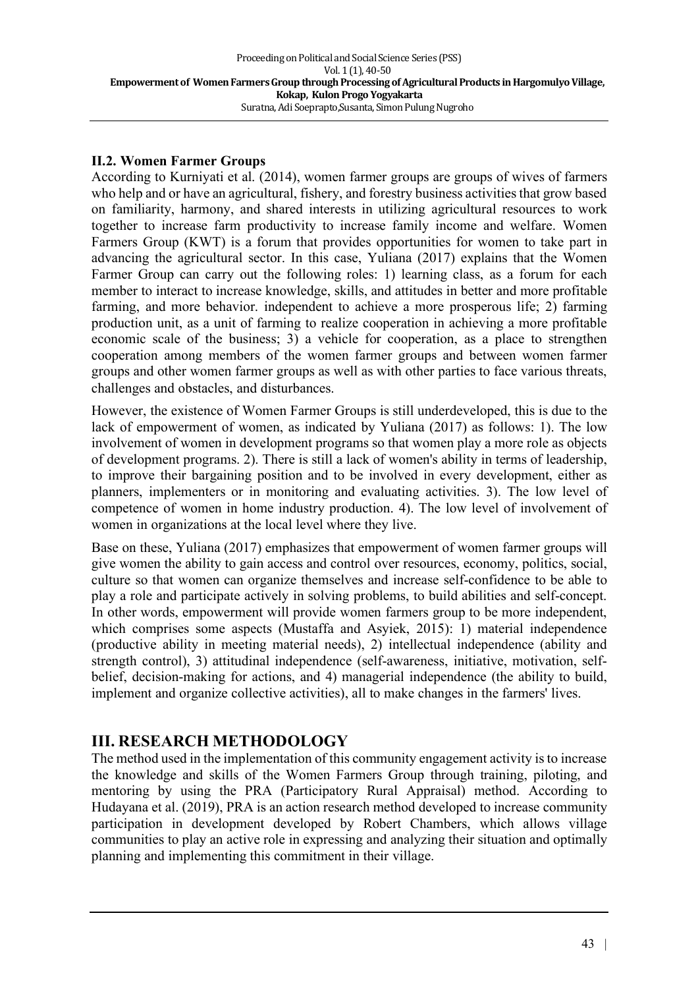#### **II.2. Women Farmer Groups**

According to Kurniyati et al. (2014), women farmer groups are groups of wives of farmers who help and or have an agricultural, fishery, and forestry business activities that grow based on familiarity, harmony, and shared interests in utilizing agricultural resources to work together to increase farm productivity to increase family income and welfare. Women Farmers Group (KWT) is a forum that provides opportunities for women to take part in advancing the agricultural sector. In this case, Yuliana (2017) explains that the Women Farmer Group can carry out the following roles: 1) learning class, as a forum for each member to interact to increase knowledge, skills, and attitudes in better and more profitable farming, and more behavior. independent to achieve a more prosperous life; 2) farming production unit, as a unit of farming to realize cooperation in achieving a more profitable economic scale of the business; 3) a vehicle for cooperation, as a place to strengthen cooperation among members of the women farmer groups and between women farmer groups and other women farmer groups as well as with other parties to face various threats, challenges and obstacles, and disturbances.

However, the existence of Women Farmer Groups is still underdeveloped, this is due to the lack of empowerment of women, as indicated by Yuliana (2017) as follows: 1). The low involvement of women in development programs so that women play a more role as objects of development programs. 2). There is still a lack of women's ability in terms of leadership, to improve their bargaining position and to be involved in every development, either as planners, implementers or in monitoring and evaluating activities. 3). The low level of competence of women in home industry production. 4). The low level of involvement of women in organizations at the local level where they live.

Base on these, Yuliana (2017) emphasizes that empowerment of women farmer groups will give women the ability to gain access and control over resources, economy, politics, social, culture so that women can organize themselves and increase self-confidence to be able to play a role and participate actively in solving problems, to build abilities and self-concept. In other words, empowerment will provide women farmers group to be more independent, which comprises some aspects (Mustaffa and Asyiek, 2015): 1) material independence (productive ability in meeting material needs), 2) intellectual independence (ability and strength control), 3) attitudinal independence (self-awareness, initiative, motivation, selfbelief, decision-making for actions, and 4) managerial independence (the ability to build, implement and organize collective activities), all to make changes in the farmers' lives.

### **III. RESEARCH METHODOLOGY**

The method used in the implementation of this community engagement activity is to increase the knowledge and skills of the Women Farmers Group through training, piloting, and mentoring by using the PRA (Participatory Rural Appraisal) method. According to Hudayana et al. (2019), PRA is an action research method developed to increase community participation in development developed by Robert Chambers, which allows village communities to play an active role in expressing and analyzing their situation and optimally planning and implementing this commitment in their village.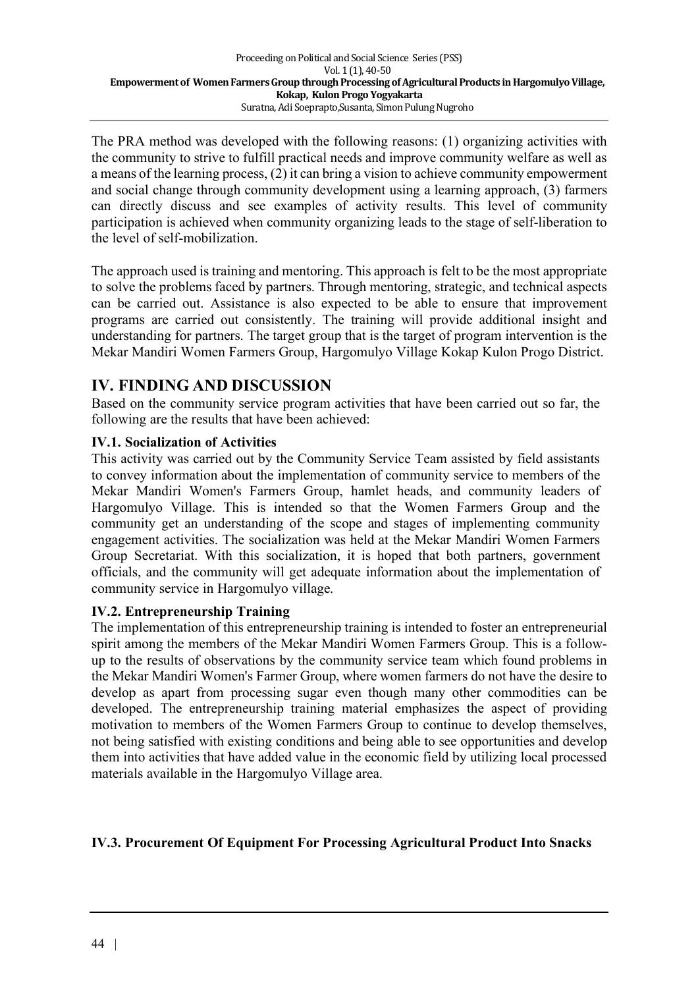The PRA method was developed with the following reasons: (1) organizing activities with the community to strive to fulfill practical needs and improve community welfare as well as a means of the learning process, (2) it can bring a vision to achieve community empowerment and social change through community development using a learning approach, (3) farmers can directly discuss and see examples of activity results. This level of community participation is achieved when community organizing leads to the stage of self-liberation to the level of self-mobilization.

The approach used is training and mentoring. This approach is felt to be the most appropriate to solve the problems faced by partners. Through mentoring, strategic, and technical aspects can be carried out. Assistance is also expected to be able to ensure that improvement programs are carried out consistently. The training will provide additional insight and understanding for partners. The target group that is the target of program intervention is the Mekar Mandiri Women Farmers Group, Hargomulyo Village Kokap Kulon Progo District.

### **IV. FINDING AND DISCUSSION**

Based on the community service program activities that have been carried out so far, the following are the results that have been achieved:

#### **IV.1. Socialization of Activities**

This activity was carried out by the Community Service Team assisted by field assistants to convey information about the implementation of community service to members of the Mekar Mandiri Women's Farmers Group, hamlet heads, and community leaders of Hargomulyo Village. This is intended so that the Women Farmers Group and the community get an understanding of the scope and stages of implementing community engagement activities. The socialization was held at the Mekar Mandiri Women Farmers Group Secretariat. With this socialization, it is hoped that both partners, government officials, and the community will get adequate information about the implementation of community service in Hargomulyo village.

#### **IV.2. Entrepreneurship Training**

The implementation of this entrepreneurship training is intended to foster an entrepreneurial spirit among the members of the Mekar Mandiri Women Farmers Group. This is a followup to the results of observations by the community service team which found problems in the Mekar Mandiri Women's Farmer Group, where women farmers do not have the desire to develop as apart from processing sugar even though many other commodities can be developed. The entrepreneurship training material emphasizes the aspect of providing motivation to members of the Women Farmers Group to continue to develop themselves, not being satisfied with existing conditions and being able to see opportunities and develop them into activities that have added value in the economic field by utilizing local processed materials available in the Hargomulyo Village area.

#### **IV.3. Procurement Of Equipment For Processing Agricultural Product Into Snacks**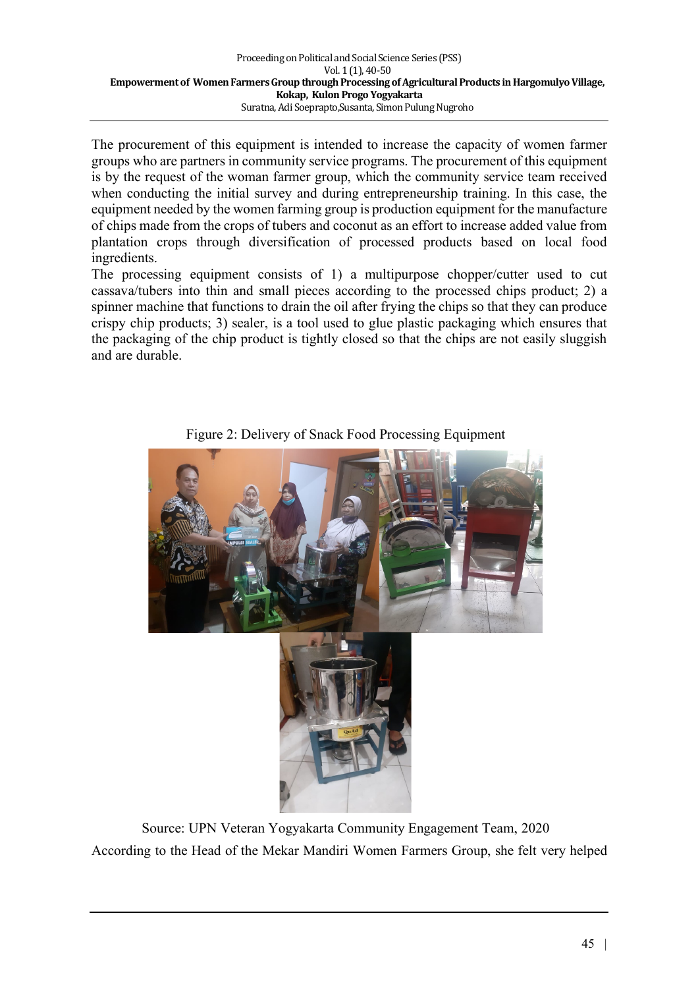The procurement of this equipment is intended to increase the capacity of women farmer groups who are partners in community service programs. The procurement of this equipment is by the request of the woman farmer group, which the community service team received when conducting the initial survey and during entrepreneurship training. In this case, the equipment needed by the women farming group is production equipment for the manufacture of chips made from the crops of tubers and coconut as an effort to increase added value from plantation crops through diversification of processed products based on local food ingredients.

The processing equipment consists of 1) a multipurpose chopper/cutter used to cut cassava/tubers into thin and small pieces according to the processed chips product; 2) a spinner machine that functions to drain the oil after frying the chips so that they can produce crispy chip products; 3) sealer, is a tool used to glue plastic packaging which ensures that the packaging of the chip product is tightly closed so that the chips are not easily sluggish and are durable.



Figure 2: Delivery of Snack Food Processing Equipment

Source: UPN Veteran Yogyakarta Community Engagement Team, 2020 According to the Head of the Mekar Mandiri Women Farmers Group, she felt very helped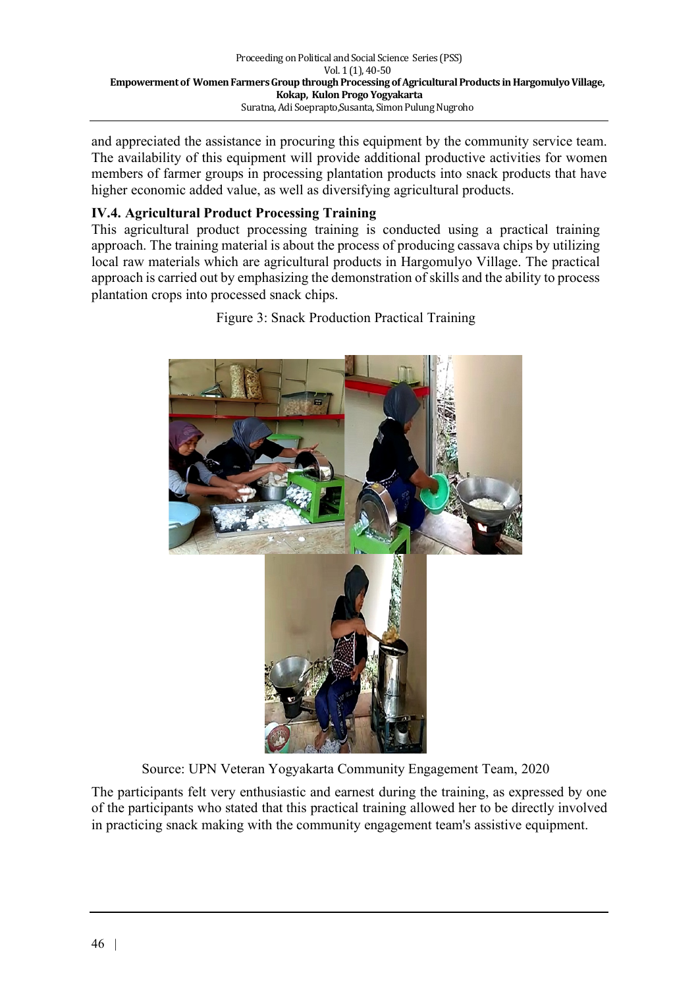and appreciated the assistance in procuring this equipment by the community service team. The availability of this equipment will provide additional productive activities for women members of farmer groups in processing plantation products into snack products that have higher economic added value, as well as diversifying agricultural products.

### **IV.4. Agricultural Product Processing Training**

This agricultural product processing training is conducted using a practical training approach. The training material is about the process of producing cassava chips by utilizing local raw materials which are agricultural products in Hargomulyo Village. The practical approach is carried out by emphasizing the demonstration of skills and the ability to process plantation crops into processed snack chips.



Figure 3: Snack Production Practical Training

Source: UPN Veteran Yogyakarta Community Engagement Team, 2020

The participants felt very enthusiastic and earnest during the training, as expressed by one of the participants who stated that this practical training allowed her to be directly involved in practicing snack making with the community engagement team's assistive equipment.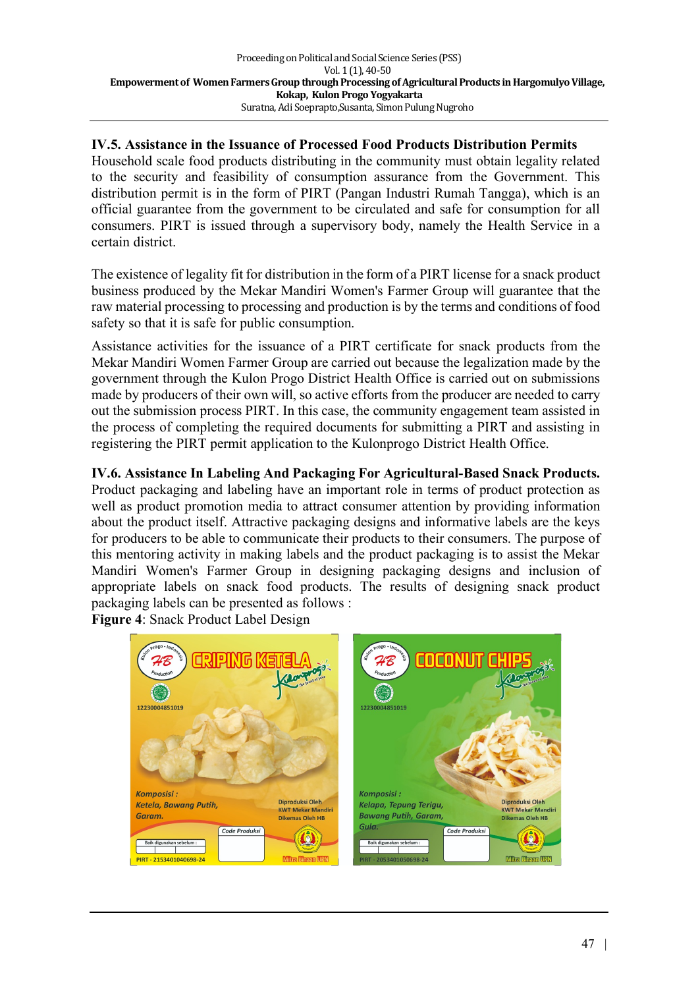#### **IV.5. Assistance in the Issuance of Processed Food Products Distribution Permits**

Household scale food products distributing in the community must obtain legality related to the security and feasibility of consumption assurance from the Government. This distribution permit is in the form of PIRT (Pangan Industri Rumah Tangga), which is an official guarantee from the government to be circulated and safe for consumption for all consumers. PIRT is issued through a supervisory body, namely the Health Service in a certain district.

The existence of legality fit for distribution in the form of a PIRT license for a snack product business produced by the Mekar Mandiri Women's Farmer Group will guarantee that the raw material processing to processing and production is by the terms and conditions of food safety so that it is safe for public consumption.

Assistance activities for the issuance of a PIRT certificate for snack products from the Mekar Mandiri Women Farmer Group are carried out because the legalization made by the government through the Kulon Progo District Health Office is carried out on submissions made by producers of their own will, so active efforts from the producer are needed to carry out the submission process PIRT. In this case, the community engagement team assisted in the process of completing the required documents for submitting a PIRT and assisting in registering the PIRT permit application to the Kulonprogo District Health Office.

**IV.6. Assistance In Labeling And Packaging For Agricultural-Based Snack Products.** Product packaging and labeling have an important role in terms of product protection as well as product promotion media to attract consumer attention by providing information about the product itself. Attractive packaging designs and informative labels are the keys for producers to be able to communicate their products to their consumers. The purpose of this mentoring activity in making labels and the product packaging is to assist the Mekar Mandiri Women's Farmer Group in designing packaging designs and inclusion of appropriate labels on snack food products. The results of designing snack product packaging labels can be presented as follows :

**Figure 4**: Snack Product Label Designdoldol 12230004851019 12230004951010 **Komposisi** Komposisi: Diproduksi Oleh Diproduksi Oleh Ketela, Bawana Putih Kelapa, Tepung Terigu. **KWT Mekar Ma KWT Mekar Mandir** Garam **Bawang Putih, Garam,** Dikemas Oleh HB **Dikemas Oleh HB** Gula. Code Produksi Code Produksi PIRT - 2153401040698-2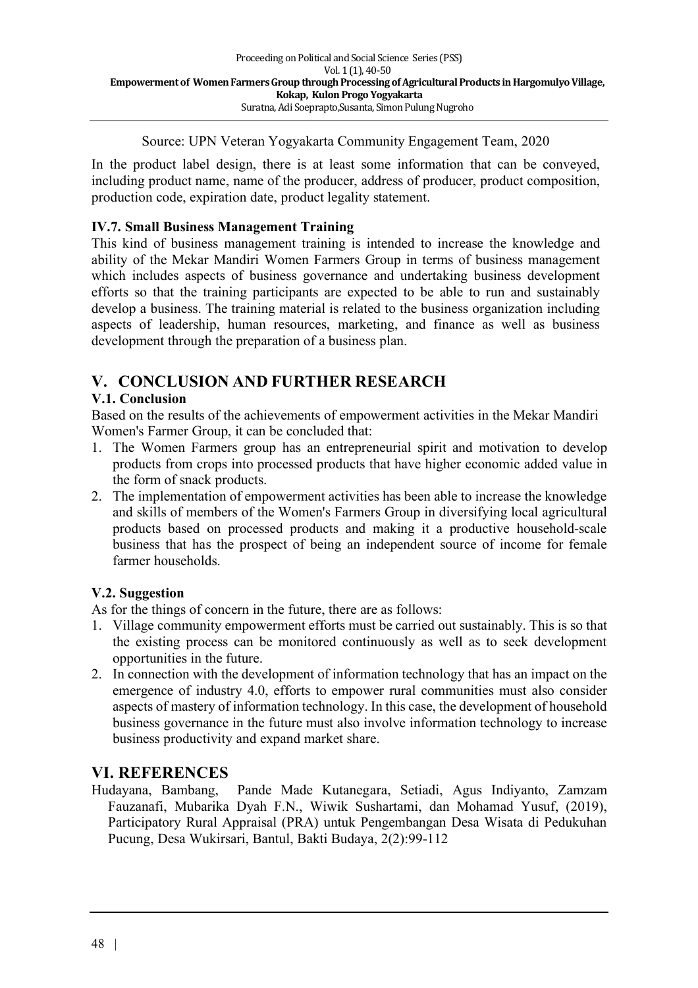Source: UPN Veteran Yogyakarta Community Engagement Team, 2020

In the product label design, there is at least some information that can be conveyed, including product name, name of the producer, address of producer, product composition, production code, expiration date, product legality statement.

#### **IV.7. Small Business Management Training**

This kind of business management training is intended to increase the knowledge and ability of the Mekar Mandiri Women Farmers Group in terms of business management which includes aspects of business governance and undertaking business development efforts so that the training participants are expected to be able to run and sustainably develop a business. The training material is related to the business organization including aspects of leadership, human resources, marketing, and finance as well as business development through the preparation of a business plan.

## **V. CONCLUSION AND FURTHER RESEARCH**

### **V.1. Conclusion**

Based on the results of the achievements of empowerment activities in the Mekar Mandiri Women's Farmer Group, it can be concluded that:

- 1. The Women Farmers group has an entrepreneurial spirit and motivation to develop products from crops into processed products that have higher economic added value in the form of snack products.
- 2. The implementation of empowerment activities has been able to increase the knowledge and skills of members of the Women's Farmers Group in diversifying local agricultural products based on processed products and making it a productive household-scale business that has the prospect of being an independent source of income for female farmer households.

#### **V.2. Suggestion**

As for the things of concern in the future, there are as follows:

- 1. Village community empowerment efforts must be carried out sustainably. This is so that the existing process can be monitored continuously as well as to seek development opportunities in the future.
- 2. In connection with the development of information technology that has an impact on the emergence of industry 4.0, efforts to empower rural communities must also consider aspects of mastery of information technology. In this case, the development of household business governance in the future must also involve information technology to increase business productivity and expand market share.

## **VI. REFERENCES**

Hudayana, Bambang, Pande Made Kutanegara, Setiadi, Agus Indiyanto, Zamzam Fauzanafi, Mubarika Dyah F.N., Wiwik Sushartami, dan Mohamad Yusuf, (2019), Participatory Rural Appraisal (PRA) untuk Pengembangan Desa Wisata di Pedukuhan Pucung, Desa Wukirsari, Bantul, Bakti Budaya, 2(2):99-112